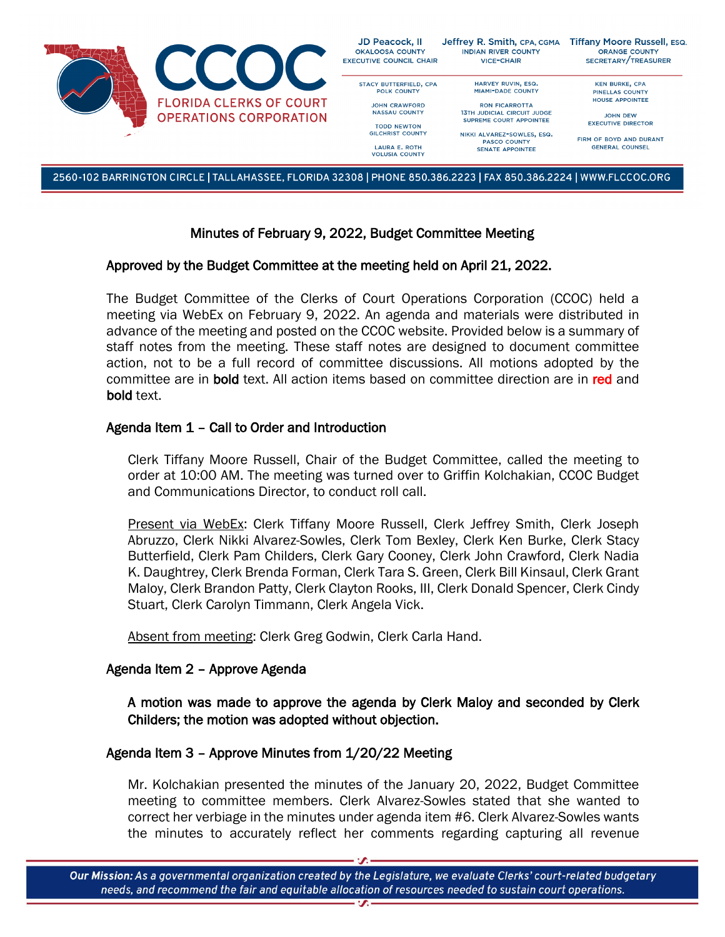

2560-102 BARRINGTON CIRCLE | TALLAHASSEE, FLORIDA 32308 | PHONE 850.386.2223 | FAX 850.386.2224 | WWW.FLCCOC.ORG

# Minutes of February 9, 2022, Budget Committee Meeting

### Approved by the Budget Committee at the meeting held on April 21, 2022.

The Budget Committee of the Clerks of Court Operations Corporation (CCOC) held a meeting via WebEx on February 9, 2022. An agenda and materials were distributed in advance of the meeting and posted on the CCOC website. Provided below is a summary of staff notes from the meeting. These staff notes are designed to document committee action, not to be a full record of committee discussions. All motions adopted by the committee are in **bold** text. All action items based on committee direction are in red and bold text.

### Agenda Item 1 – Call to Order and Introduction

Clerk Tiffany Moore Russell, Chair of the Budget Committee, called the meeting to order at 10:00 AM. The meeting was turned over to Griffin Kolchakian, CCOC Budget and Communications Director, to conduct roll call.

Present via WebEx: Clerk Tiffany Moore Russell, Clerk Jeffrey Smith, Clerk Joseph Abruzzo, Clerk Nikki Alvarez-Sowles, Clerk Tom Bexley, Clerk Ken Burke, Clerk Stacy Butterfield, Clerk Pam Childers, Clerk Gary Cooney, Clerk John Crawford, Clerk Nadia K. Daughtrey, Clerk Brenda Forman, Clerk Tara S. Green, Clerk Bill Kinsaul, Clerk Grant Maloy, Clerk Brandon Patty, Clerk Clayton Rooks, III, Clerk Donald Spencer, Clerk Cindy Stuart, Clerk Carolyn Timmann, Clerk Angela Vick.

Absent from meeting: Clerk Greg Godwin, Clerk Carla Hand.

## Agenda Item 2 – Approve Agenda

A motion was made to approve the agenda by Clerk Maloy and seconded by Clerk Childers; the motion was adopted without objection.

## Agenda Item 3 – Approve Minutes from 1/20/22 Meeting

Mr. Kolchakian presented the minutes of the January 20, 2022, Budget Committee meeting to committee members. Clerk Alvarez-Sowles stated that she wanted to correct her verbiage in the minutes under agenda item #6. Clerk Alvarez-Sowles wants the minutes to accurately reflect her comments regarding capturing all revenue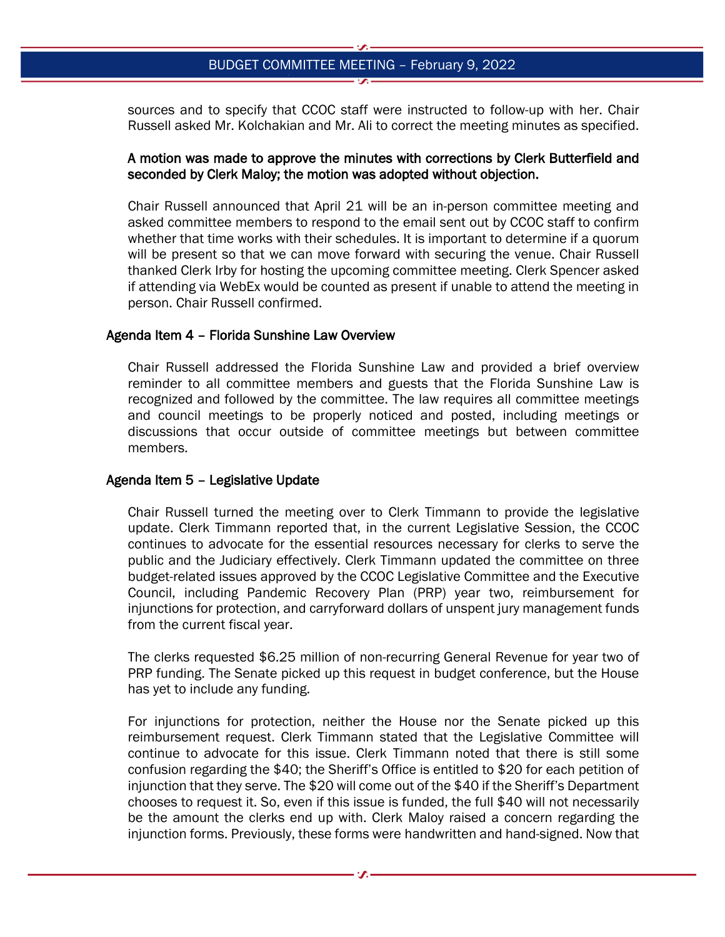sources and to specify that CCOC staff were instructed to follow-up with her. Chair Russell asked Mr. Kolchakian and Mr. Ali to correct the meeting minutes as specified.

## A motion was made to approve the minutes with corrections by Clerk Butterfield and seconded by Clerk Maloy; the motion was adopted without objection.

Chair Russell announced that April 21 will be an in-person committee meeting and asked committee members to respond to the email sent out by CCOC staff to confirm whether that time works with their schedules. It is important to determine if a quorum will be present so that we can move forward with securing the venue. Chair Russell thanked Clerk Irby for hosting the upcoming committee meeting. Clerk Spencer asked if attending via WebEx would be counted as present if unable to attend the meeting in person. Chair Russell confirmed.

### Agenda Item 4 – Florida Sunshine Law Overview

Chair Russell addressed the Florida Sunshine Law and provided a brief overview reminder to all committee members and guests that the Florida Sunshine Law is recognized and followed by the committee. The law requires all committee meetings and council meetings to be properly noticed and posted, including meetings or discussions that occur outside of committee meetings but between committee members.

#### Agenda Item 5 – Legislative Update

Chair Russell turned the meeting over to Clerk Timmann to provide the legislative update. Clerk Timmann reported that, in the current Legislative Session, the CCOC continues to advocate for the essential resources necessary for clerks to serve the public and the Judiciary effectively. Clerk Timmann updated the committee on three budget-related issues approved by the CCOC Legislative Committee and the Executive Council, including Pandemic Recovery Plan (PRP) year two, reimbursement for injunctions for protection, and carryforward dollars of unspent jury management funds from the current fiscal year.

The clerks requested \$6.25 million of non-recurring General Revenue for year two of PRP funding. The Senate picked up this request in budget conference, but the House has yet to include any funding.

For injunctions for protection, neither the House nor the Senate picked up this reimbursement request. Clerk Timmann stated that the Legislative Committee will continue to advocate for this issue. Clerk Timmann noted that there is still some confusion regarding the \$40; the Sheriff's Office is entitled to \$20 for each petition of injunction that they serve. The \$20 will come out of the \$40 if the Sheriff's Department chooses to request it. So, even if this issue is funded, the full \$40 will not necessarily be the amount the clerks end up with. Clerk Maloy raised a concern regarding the injunction forms. Previously, these forms were handwritten and hand-signed. Now that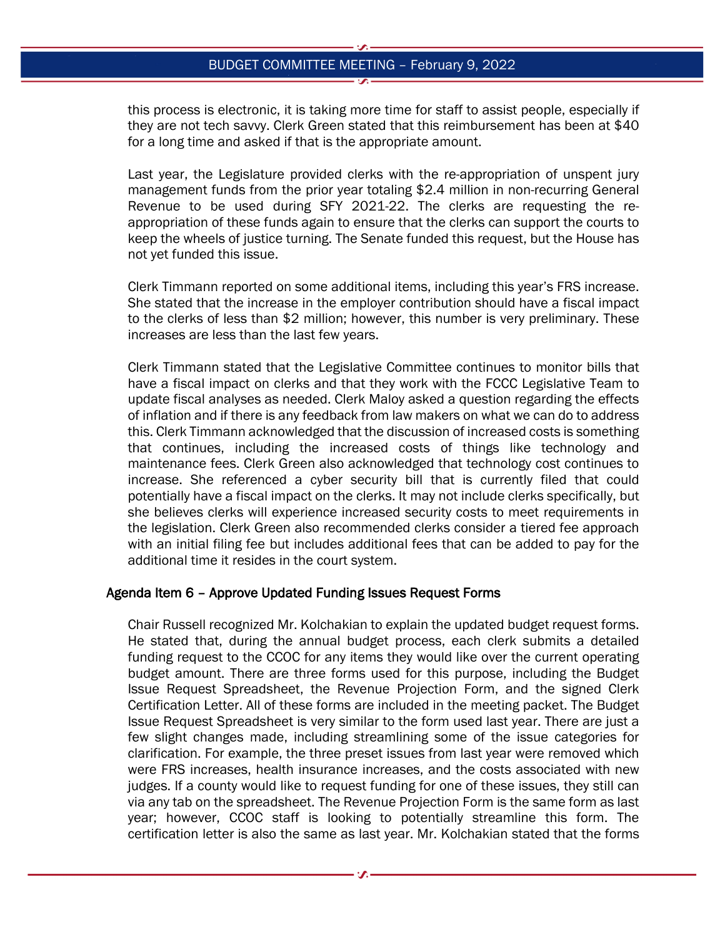this process is electronic, it is taking more time for staff to assist people, especially if they are not tech savvy. Clerk Green stated that this reimbursement has been at \$40 for a long time and asked if that is the appropriate amount.

Last year, the Legislature provided clerks with the re-appropriation of unspent jury management funds from the prior year totaling \$2.4 million in non-recurring General Revenue to be used during SFY 2021-22. The clerks are requesting the reappropriation of these funds again to ensure that the clerks can support the courts to keep the wheels of justice turning. The Senate funded this request, but the House has not yet funded this issue.

Clerk Timmann reported on some additional items, including this year's FRS increase. She stated that the increase in the employer contribution should have a fiscal impact to the clerks of less than \$2 million; however, this number is very preliminary. These increases are less than the last few years.

Clerk Timmann stated that the Legislative Committee continues to monitor bills that have a fiscal impact on clerks and that they work with the FCCC Legislative Team to update fiscal analyses as needed. Clerk Maloy asked a question regarding the effects of inflation and if there is any feedback from law makers on what we can do to address this. Clerk Timmann acknowledged that the discussion of increased costs is something that continues, including the increased costs of things like technology and maintenance fees. Clerk Green also acknowledged that technology cost continues to increase. She referenced a cyber security bill that is currently filed that could potentially have a fiscal impact on the clerks. It may not include clerks specifically, but she believes clerks will experience increased security costs to meet requirements in the legislation. Clerk Green also recommended clerks consider a tiered fee approach with an initial filing fee but includes additional fees that can be added to pay for the additional time it resides in the court system.

#### Agenda Item 6 – Approve Updated Funding Issues Request Forms

Chair Russell recognized Mr. Kolchakian to explain the updated budget request forms. He stated that, during the annual budget process, each clerk submits a detailed funding request to the CCOC for any items they would like over the current operating budget amount. There are three forms used for this purpose, including the Budget Issue Request Spreadsheet, the Revenue Projection Form, and the signed Clerk Certification Letter. All of these forms are included in the meeting packet. The Budget Issue Request Spreadsheet is very similar to the form used last year. There are just a few slight changes made, including streamlining some of the issue categories for clarification. For example, the three preset issues from last year were removed which were FRS increases, health insurance increases, and the costs associated with new judges. If a county would like to request funding for one of these issues, they still can via any tab on the spreadsheet. The Revenue Projection Form is the same form as last year; however, CCOC staff is looking to potentially streamline this form. The certification letter is also the same as last year. Mr. Kolchakian stated that the forms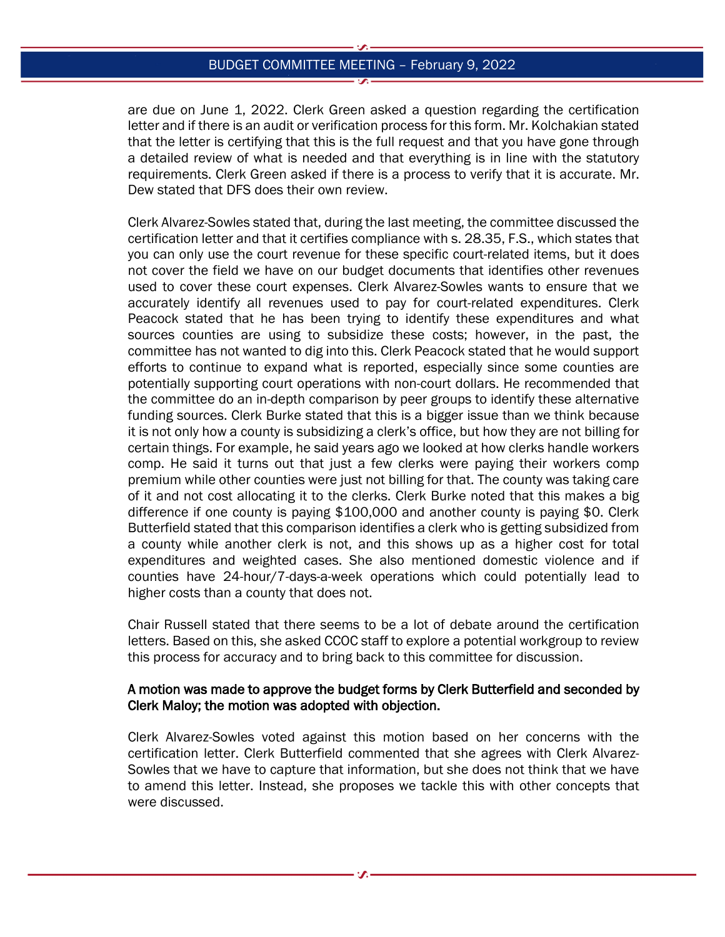are due on June 1, 2022. Clerk Green asked a question regarding the certification letter and if there is an audit or verification process for this form. Mr. Kolchakian stated that the letter is certifying that this is the full request and that you have gone through a detailed review of what is needed and that everything is in line with the statutory requirements. Clerk Green asked if there is a process to verify that it is accurate. Mr. Dew stated that DFS does their own review.

Clerk Alvarez-Sowles stated that, during the last meeting, the committee discussed the certification letter and that it certifies compliance with s. 28.35, F.S., which states that you can only use the court revenue for these specific court-related items, but it does not cover the field we have on our budget documents that identifies other revenues used to cover these court expenses. Clerk Alvarez-Sowles wants to ensure that we accurately identify all revenues used to pay for court-related expenditures. Clerk Peacock stated that he has been trying to identify these expenditures and what sources counties are using to subsidize these costs; however, in the past, the committee has not wanted to dig into this. Clerk Peacock stated that he would support efforts to continue to expand what is reported, especially since some counties are potentially supporting court operations with non-court dollars. He recommended that the committee do an in-depth comparison by peer groups to identify these alternative funding sources. Clerk Burke stated that this is a bigger issue than we think because it is not only how a county is subsidizing a clerk's office, but how they are not billing for certain things. For example, he said years ago we looked at how clerks handle workers comp. He said it turns out that just a few clerks were paying their workers comp premium while other counties were just not billing for that. The county was taking care of it and not cost allocating it to the clerks. Clerk Burke noted that this makes a big difference if one county is paying \$100,000 and another county is paying \$0. Clerk Butterfield stated that this comparison identifies a clerk who is getting subsidized from a county while another clerk is not, and this shows up as a higher cost for total expenditures and weighted cases. She also mentioned domestic violence and if counties have 24-hour/7-days-a-week operations which could potentially lead to higher costs than a county that does not.

Chair Russell stated that there seems to be a lot of debate around the certification letters. Based on this, she asked CCOC staff to explore a potential workgroup to review this process for accuracy and to bring back to this committee for discussion.

### A motion was made to approve the budget forms by Clerk Butterfield and seconded by Clerk Maloy; the motion was adopted with objection.

Clerk Alvarez-Sowles voted against this motion based on her concerns with the certification letter. Clerk Butterfield commented that she agrees with Clerk Alvarez-Sowles that we have to capture that information, but she does not think that we have to amend this letter. Instead, she proposes we tackle this with other concepts that were discussed.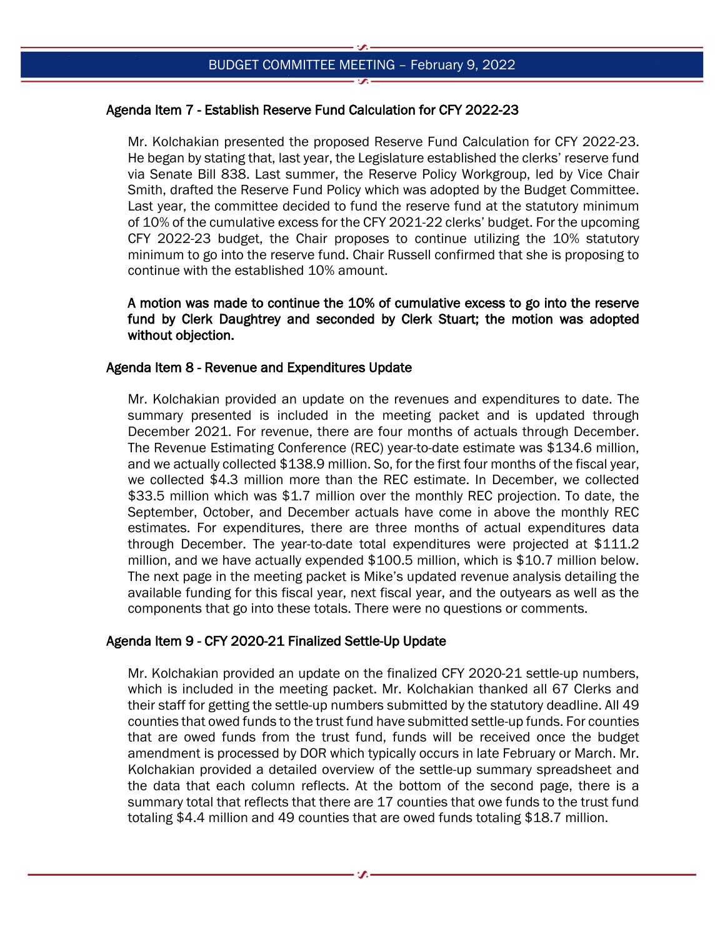# Agenda Item 7 - Establish Reserve Fund Calculation for CFY 2022-23

Mr. Kolchakian presented the proposed Reserve Fund Calculation for CFY 2022-23. He began by stating that, last year, the Legislature established the clerks' reserve fund via Senate Bill 838. Last summer, the Reserve Policy Workgroup, led by Vice Chair Smith, drafted the Reserve Fund Policy which was adopted by the Budget Committee. Last year, the committee decided to fund the reserve fund at the statutory minimum of 10% of the cumulative excess for the CFY 2021-22 clerks' budget. For the upcoming CFY 2022-23 budget, the Chair proposes to continue utilizing the 10% statutory minimum to go into the reserve fund. Chair Russell confirmed that she is proposing to continue with the established 10% amount.

A motion was made to continue the 10% of cumulative excess to go into the reserve fund by Clerk Daughtrey and seconded by Clerk Stuart; the motion was adopted without objection.

## Agenda Item 8 - Revenue and Expenditures Update

Mr. Kolchakian provided an update on the revenues and expenditures to date. The summary presented is included in the meeting packet and is updated through December 2021. For revenue, there are four months of actuals through December. The Revenue Estimating Conference (REC) year-to-date estimate was \$134.6 million, and we actually collected \$138.9 million. So, for the first four months of the fiscal year, we collected \$4.3 million more than the REC estimate. In December, we collected \$33.5 million which was \$1.7 million over the monthly REC projection. To date, the September, October, and December actuals have come in above the monthly REC estimates. For expenditures, there are three months of actual expenditures data through December. The year-to-date total expenditures were projected at \$111.2 million, and we have actually expended \$100.5 million, which is \$10.7 million below. The next page in the meeting packet is Mike's updated revenue analysis detailing the available funding for this fiscal year, next fiscal year, and the outyears as well as the components that go into these totals. There were no questions or comments.

## Agenda Item 9 - CFY 2020-21 Finalized Settle-Up Update

Mr. Kolchakian provided an update on the finalized CFY 2020-21 settle-up numbers, which is included in the meeting packet. Mr. Kolchakian thanked all 67 Clerks and their staff for getting the settle-up numbers submitted by the statutory deadline. All 49 counties that owed funds to the trust fund have submitted settle-up funds. For counties that are owed funds from the trust fund, funds will be received once the budget amendment is processed by DOR which typically occurs in late February or March. Mr. Kolchakian provided a detailed overview of the settle-up summary spreadsheet and the data that each column reflects. At the bottom of the second page, there is a summary total that reflects that there are 17 counties that owe funds to the trust fund totaling \$4.4 million and 49 counties that are owed funds totaling \$18.7 million.